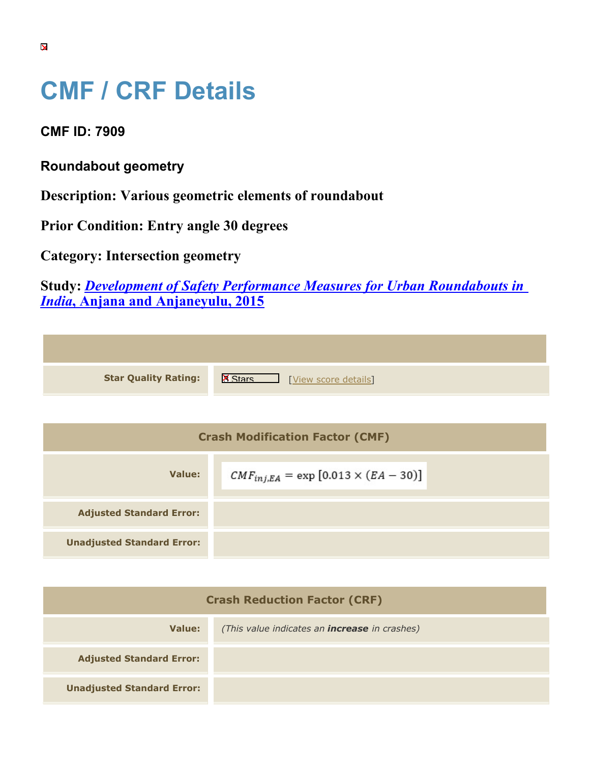## **CMF / CRF Details**

**CMF ID: 7909**

**Roundabout geometry**

**Description: Various geometric elements of roundabout**

**Prior Condition: Entry angle 30 degrees**

**Category: Intersection geometry**

**Study:** *[Development of Safety Performance Measures for Urban Roundabouts in](https://cmfclearinghouse.org/study_detail.cfm?stid=428) [India](https://cmfclearinghouse.org/study_detail.cfm?stid=428)***[, Anjana and Anjaneyulu, 2015](https://cmfclearinghouse.org/study_detail.cfm?stid=428)**

| <b>Star Quality Rating:</b> | $\mathbf{X}$<br>[View score details] |
|-----------------------------|--------------------------------------|
|                             |                                      |

| <b>Crash Modification Factor (CMF)</b> |                                                |
|----------------------------------------|------------------------------------------------|
| Value:                                 | $CMF_{inj,EA} = \exp [0.013 \times (EA - 30)]$ |
| <b>Adjusted Standard Error:</b>        |                                                |
| <b>Unadjusted Standard Error:</b>      |                                                |

| <b>Crash Reduction Factor (CRF)</b> |                                                      |  |
|-------------------------------------|------------------------------------------------------|--|
| Value:                              | (This value indicates an <b>increase</b> in crashes) |  |
| <b>Adjusted Standard Error:</b>     |                                                      |  |
| <b>Unadjusted Standard Error:</b>   |                                                      |  |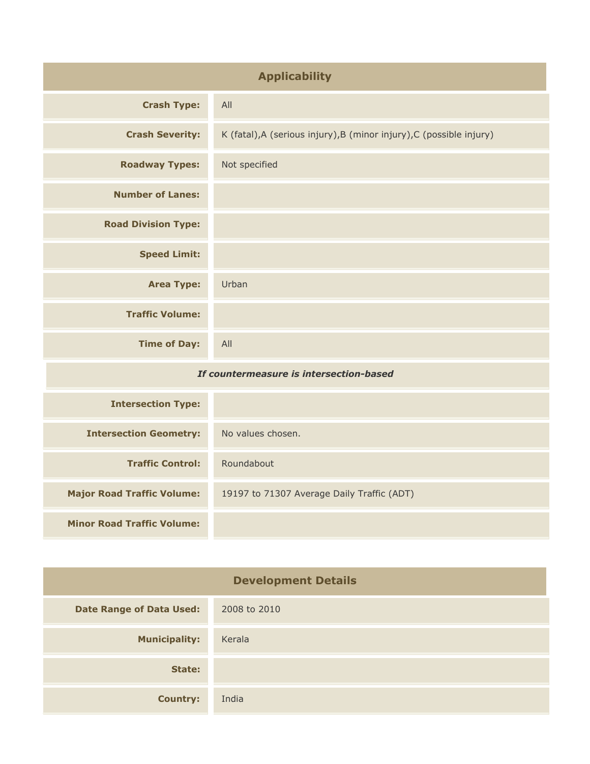| <b>Applicability</b>                    |                                                                      |
|-----------------------------------------|----------------------------------------------------------------------|
| <b>Crash Type:</b>                      | All                                                                  |
| <b>Crash Severity:</b>                  | K (fatal), A (serious injury), B (minor injury), C (possible injury) |
| <b>Roadway Types:</b>                   | Not specified                                                        |
| <b>Number of Lanes:</b>                 |                                                                      |
| <b>Road Division Type:</b>              |                                                                      |
| <b>Speed Limit:</b>                     |                                                                      |
| <b>Area Type:</b>                       | Urban                                                                |
| <b>Traffic Volume:</b>                  |                                                                      |
| <b>Time of Day:</b>                     | All                                                                  |
| If countermeasure is intersection-based |                                                                      |
| <b>Intersection Type:</b>               |                                                                      |
| <b>Intersection Geometry:</b>           | No values chosen.                                                    |
| <b>Traffic Control:</b>                 | Roundabout                                                           |
| <b>Major Road Traffic Volume:</b>       | 19197 to 71307 Average Daily Traffic (ADT)                           |
| <b>Minor Road Traffic Volume:</b>       |                                                                      |

| <b>Development Details</b>      |              |  |
|---------------------------------|--------------|--|
| <b>Date Range of Data Used:</b> | 2008 to 2010 |  |
| <b>Municipality:</b>            | Kerala       |  |
| State:                          |              |  |
| <b>Country:</b>                 | India        |  |